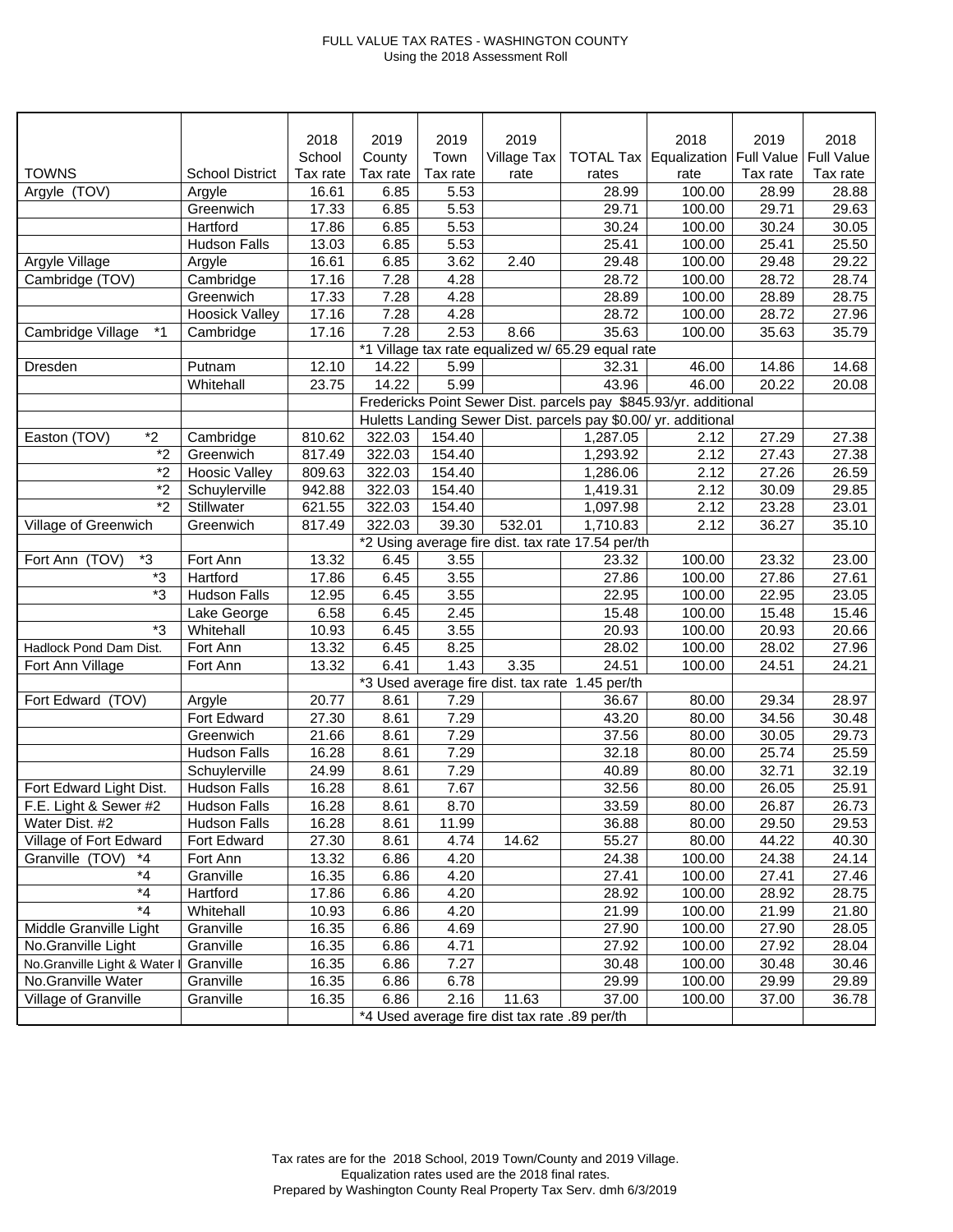## FULL VALUE TAX RATES - WASHINGTON COUNTY Using the 2018 Assessment Roll

|                            |                        | 2018     | 2019                                              | 2019     | 2019        |                                                   | 2018                                                             | 2019              | 2018              |
|----------------------------|------------------------|----------|---------------------------------------------------|----------|-------------|---------------------------------------------------|------------------------------------------------------------------|-------------------|-------------------|
|                            |                        | School   | County                                            | Town     | Village Tax | <b>TOTAL Tax</b>                                  | Equalization                                                     | <b>Full Value</b> | <b>Full Value</b> |
| <b>TOWNS</b>               | <b>School District</b> | Tax rate | Tax rate                                          | Tax rate | rate        | rates                                             | rate                                                             | Tax rate          | Tax rate          |
| Argyle (TOV)               | Argyle                 | 16.61    | 6.85                                              | 5.53     |             | 28.99                                             | 100.00                                                           | 28.99             | 28.88             |
|                            | Greenwich              | 17.33    | 6.85                                              | 5.53     |             | 29.71                                             | 100.00                                                           | 29.71             | 29.63             |
|                            | Hartford               | 17.86    | 6.85                                              | 5.53     |             | 30.24                                             | 100.00                                                           | 30.24             | 30.05             |
|                            | <b>Hudson Falls</b>    | 13.03    | 6.85                                              | 5.53     |             | 25.41                                             | 100.00                                                           | 25.41             | 25.50             |
| Argyle Village             | Argyle                 | 16.61    | 6.85                                              | 3.62     | 2.40        | 29.48                                             | 100.00                                                           | 29.48             | 29.22             |
| Cambridge (TOV)            | Cambridge              | 17.16    | 7.28                                              | 4.28     |             | 28.72                                             | 100.00                                                           | 28.72             | 28.74             |
|                            | Greenwich              | 17.33    | 7.28                                              | 4.28     |             | 28.89                                             | 100.00                                                           | 28.89             | 28.75             |
|                            | <b>Hoosick Valley</b>  | 17.16    | 7.28                                              | 4.28     |             | 28.72                                             | 100.00                                                           | 28.72             | 27.96             |
| $*1$<br>Cambridge Village  | Cambridge              | 17.16    | 7.28                                              | 2.53     | 8.66        | 35.63                                             | 100.00                                                           | 35.63             | 35.79             |
|                            |                        |          | *1 Village tax rate equalized w/ 65.29 equal rate |          |             |                                                   |                                                                  |                   |                   |
| Dresden                    | Putnam                 | 12.10    | 14.22                                             | 5.99     |             | 32.31                                             | 46.00                                                            | 14.86             | 14.68             |
|                            | Whitehall              | 23.75    | 14.22                                             | 5.99     |             | 43.96                                             | 46.00                                                            | 20.22             | 20.08             |
|                            |                        |          |                                                   |          |             |                                                   | Fredericks Point Sewer Dist. parcels pay \$845.93/yr. additional |                   |                   |
|                            |                        |          |                                                   |          |             |                                                   | Huletts Landing Sewer Dist. parcels pay \$0.00/ yr. additional   |                   |                   |
| $*2$<br>Easton (TOV)       | Cambridge              | 810.62   | 322.03                                            | 154.40   |             | 1,287.05                                          | 2.12                                                             | 27.29             | 27.38             |
| $\overline{2}$             | Greenwich              | 817.49   | 322.03                                            | 154.40   |             | 1,293.92                                          | 2.12                                                             | 27.43             | 27.38             |
| $*_{2}$                    | <b>Hoosic Valley</b>   | 809.63   | 322.03                                            | 154.40   |             | 1,286.06                                          | 2.12                                                             | 27.26             | 26.59             |
| $*_{2}$                    | Schuylerville          | 942.88   | 322.03                                            | 154.40   |             | 1,419.31                                          | 2.12                                                             | 30.09             | 29.85             |
| $\overline{2}$             | Stillwater             | 621.55   | 322.03                                            | 154.40   |             | 1,097.98                                          | 2.12                                                             | 23.28             | 23.01             |
| Village of Greenwich       | Greenwich              | 817.49   | 322.03                                            | 39.30    | 532.01      | 1,710.83                                          | 2.12                                                             | 36.27             | 35.10             |
|                            |                        |          |                                                   |          |             | *2 Using average fire dist. tax rate 17.54 per/th |                                                                  |                   |                   |
| $*3$<br>Fort Ann (TOV)     | Fort Ann               | 13.32    | 6.45                                              | 3.55     |             | 23.32                                             | 100.00                                                           | 23.32             | 23.00             |
| $*3$                       | Hartford               | 17.86    | 6.45                                              | 3.55     |             | 27.86                                             | 100.00                                                           | 27.86             | 27.61             |
| *3                         | <b>Hudson Falls</b>    | 12.95    | 6.45                                              | 3.55     |             | 22.95                                             | 100.00                                                           | 22.95             | 23.05             |
|                            | Lake George            | 6.58     | 6.45                                              | 2.45     |             | 15.48                                             | 100.00                                                           | 15.48             | 15.46             |
| *3                         | Whitehall              | 10.93    | 6.45                                              | 3.55     |             | 20.93                                             | 100.00                                                           | 20.93             | 20.66             |
| Hadlock Pond Dam Dist.     | Fort Ann               | 13.32    | 6.45                                              | 8.25     |             | 28.02                                             | 100.00                                                           | 28.02             | 27.96             |
| Fort Ann Village           | Fort Ann               | 13.32    | 6.41                                              | 1.43     | 3.35        | 24.51                                             | 100.00                                                           | 24.51             | 24.21             |
|                            |                        |          | *3 Used average fire dist. tax rate 1.45 per/th   |          |             |                                                   |                                                                  |                   |                   |
| Fort Edward (TOV)          | Argyle                 | 20.77    | 8.61                                              | 7.29     |             | 36.67                                             | 80.00                                                            | 29.34             | 28.97             |
|                            | Fort Edward            | 27.30    | 8.61                                              | 7.29     |             | 43.20                                             | 80.00                                                            | 34.56             | 30.48             |
|                            | Greenwich              | 21.66    | 8.61                                              | 7.29     |             | 37.56                                             | 80.00                                                            | 30.05             | 29.73             |
|                            | <b>Hudson Falls</b>    | 16.28    | 8.61                                              | 7.29     |             | 32.18                                             | 80.00                                                            | 25.74             | 25.59             |
|                            | Schuylerville          | 24.99    | 8.61                                              | 7.29     |             | 40.89                                             | 80.00                                                            | 32.71             | 32.19             |
| Fort Edward Light Dist.    | <b>Hudson Falls</b>    | 16.28    | 8.61                                              | 7.67     |             | 32.56                                             | 80.00                                                            | 26.05             | 25.91             |
| F.E. Light & Sewer #2      | <b>Hudson Falls</b>    | 16.28    | 8.61                                              | 8.70     |             | 33.59                                             | 80.00                                                            | 26.87             | 26.73             |
| Water Dist. #2             | <b>Hudson Falls</b>    | 16.28    | 8.61                                              | 11.99    |             | 36.88                                             | 80.00                                                            | 29.50             | 29.53             |
| Village of Fort Edward     | Fort Edward            | 27.30    | 8.61                                              | 4.74     | 14.62       | 55.27                                             | 80.00                                                            | 44.22             | 40.30             |
| Granville (TOV)<br>*4      | Fort Ann               | 13.32    | 6.86                                              | 4.20     |             | 24.38                                             | 100.00                                                           | 24.38             | 24.14             |
| $*_{4}$                    | Granville              | 16.35    | 6.86                                              | 4.20     |             | 27.41                                             | 100.00                                                           | 27.41             | 27.46             |
| $^{\star}4$                | Hartford               | 17.86    | 6.86                                              | 4.20     |             | 28.92                                             | 100.00                                                           | 28.92             | 28.75             |
| $*_{4}$                    | Whitehall              | 10.93    | 6.86                                              | 4.20     |             | 21.99                                             | 100.00                                                           | 21.99             | 21.80             |
| Middle Granville Light     | Granville              | 16.35    | 6.86                                              | 4.69     |             | 27.90                                             | 100.00                                                           | 27.90             | 28.05             |
| No.Granville Light         | Granville              | 16.35    | 6.86                                              | 4.71     |             | 27.92                                             | 100.00                                                           | 27.92             | 28.04             |
| No.Granville Light & Water | Granville              | 16.35    | 6.86                                              | 7.27     |             | 30.48                                             | 100.00                                                           | 30.48             | 30.46             |
| No.Granville Water         | Granville              | 16.35    | 6.86                                              | 6.78     |             | 29.99                                             | 100.00                                                           | 29.99             | 29.89             |
| Village of Granville       | Granville              | 16.35    | 6.86                                              | 2.16     | 11.63       | 37.00                                             | 100.00                                                           | 37.00             | 36.78             |
|                            |                        |          | *4 Used average fire dist tax rate .89 per/th     |          |             |                                                   |                                                                  |                   |                   |